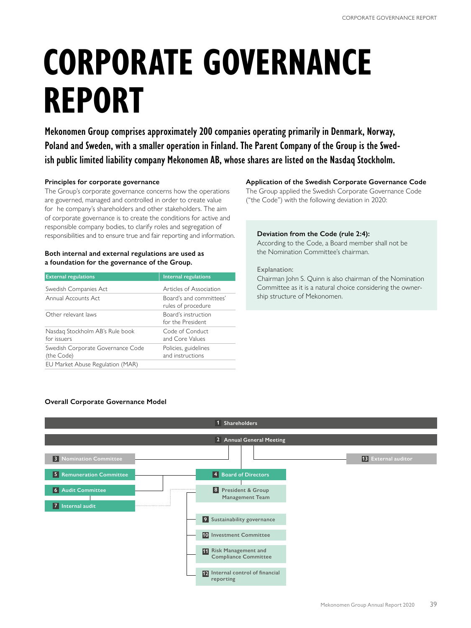# **CORPORATE GOVERNANCE REPORT**

**Mekonomen Group comprises approximately 200 companies operating primarily in Denmark, Norway, Poland and Sweden, with a smaller operation in Finland. The Parent Company of the Group is the Swedish public limited liability company Mekonomen AB, whose shares are listed on the Nasdaq Stockholm.**

# **Principles for corporate governance**

The Group's corporate governance concerns how the operations are governed, managed and controlled in order to create value for he company's shareholders and other stakeholders. The aim of corporate governance is to create the conditions for active and responsible company bodies, to clarify roles and segregation of responsibilities and to ensure true and fair reporting and information.

# **Both internal and external regulations are used as a foundation for the governance of the Group.**

| <b>External regulations</b>                     | Internal regulations                          |
|-------------------------------------------------|-----------------------------------------------|
| Swedish Companies Act                           | Articles of Association                       |
| Annual Accounts Act                             | Board's and committees'<br>rules of procedure |
| Other relevant laws                             | Board's instruction<br>for the President      |
| Nasdag Stockholm AB's Rule book<br>for issuers  | Code of Conduct<br>and Core Values            |
| Swedish Corporate Governance Code<br>(the Code) | Policies, guidelines<br>and instructions      |
| EU Market Abuse Regulation (MAR)                |                                               |

# **Application of the Swedish Corporate Governance Code**

The Group applied the Swedish Corporate Governance Code ("the Code") with the following deviation in 2020:

# **Deviation from the Code (rule 2:4):**

According to the Code, a Board member shall not be the Nomination Committee's chairman.

# Explanation:

Chairman John S. Quinn is also chairman of the Nomination Committee as it is a natural choice considering the ownership structure of Mekonomen.

# **Overall Corporate Governance Model**

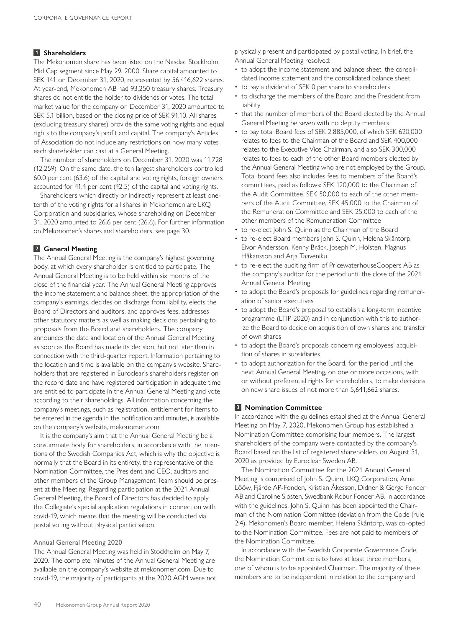# **1 Shareholders**

The Mekonomen share has been listed on the Nasdaq Stockholm, Mid Cap segment since May 29, 2000. Share capital amounted to SEK 141 on December 31, 2020, represented by 56,416,622 shares. At year-end, Mekonomen AB had 93,250 treasury shares. Treasury shares do not entitle the holder to dividends or votes. The total market value for the company on December 31, 2020 amounted to SEK 5.1 billion, based on the closing price of SEK 91.10. All shares (excluding treasury shares) provide the same voting rights and equal rights to the company's profit and capital. The company's Articles of Association do not include any restrictions on how many votes each shareholder can cast at a General Meeting.

The number of shareholders on December 31, 2020 was 11,728 (12,259). On the same date, the ten largest shareholders controlled 60.0 per cent (63.6) of the capital and voting rights, foreign owners accounted for 41.4 per cent (42.5) of the capital and voting rights.

Shareholders which directly or indirectly represent at least onetenth of the voting rights for all shares in Mekonomen are LKQ Corporation and subsidiaries, whose shareholding on December 31, 2020 amounted to 26.6 per cent (26.6). For further information on Mekonomen's shares and shareholders, see page 30.

# **2 General Meeting**

The Annual General Meeting is the company's highest governing body, at which every shareholder is entitled to participate. The Annual General Meeting is to be held within six months of the close of the financial year. The Annual General Meeting approves the income statement and balance sheet, the appropriation of the company's earnings, decides on discharge from liability, elects the Board of Directors and auditors, and approves fees, addresses other statutory matters as well as making decisions pertaining to proposals from the Board and shareholders. The company announces the date and location of the Annual General Meeting as soon as the Board has made its decision, but not later than in connection with the third-quarter report. Information pertaining to the location and time is available on the company's website. Shareholders that are registered in Euroclear's shareholders register on the record date and have registered participation in adequate time are entitled to participate in the Annual General Meeting and vote according to their shareholdings. All information concerning the company's meetings, such as registration, entitlement for items to be entered in the agenda in the notification and minutes, is available on the company's website, mekonomen.com.

It is the company's aim that the Annual General Meeting be a consummate body for shareholders, in accordance with the intentions of the Swedish Companies Act, which is why the objective is normally that the Board in its entirety, the representative of the Nomination Committee, the President and CEO, auditors and other members of the Group Management Team should be present at the Meeting. Regarding participation at the 2021 Annual General Meeting, the Board of Directors has decided to apply the Collegiate's special application regulations in connection with covid-19, which means that the meeting will be conducted via postal voting without physical participation.

#### Annual General Meeting 2020

The Annual General Meeting was held in Stockholm on May 7, 2020. The complete minutes of the Annual General Meeting are available on the company's website at mekonomen.com. Due to covid-19, the majority of participants at the 2020 AGM were not physically present and participated by postal voting. In brief, the Annual General Meeting resolved:

- to adopt the income statement and balance sheet, the consolidated income statement and the consolidated balance sheet
- to pay a dividend of SEK 0 per share to shareholders
- to discharge the members of the Board and the President from liability
- that the number of members of the Board elected by the Annual General Meeting be seven with no deputy members
- to pay total Board fees of SEK 2,885,000, of which SEK 620,000 relates to fees to the Chairman of the Board and SEK 400,000 relates to the Executive Vice Chairman, and also SEK 300,000 relates to fees to each of the other Board members elected by the Annual General Meeting who are not employed by the Group. Total board fees also includes fees to members of the Board's committees, paid as follows: SEK 120,000 to the Chairman of the Audit Committee, SEK 50,000 to each of the other members of the Audit Committee, SEK 45,000 to the Chairman of the Remuneration Committee and SEK 25,000 to each of the other members of the Remuneration Committee
- to re-elect John S. Quinn as the Chairman of the Board
- to re-elect Board members John S. Quinn, Helena Skåntorp, Eivor Andersson, Kenny Bräck, Joseph M. Holsten, Magnus Håkansson and Arja Taaveniku
- to re-elect the auditing firm of PricewaterhouseCoopers AB as the company's auditor for the period until the close of the 2021 Annual General Meeting
- to adopt the Board's proposals for guidelines regarding remuneration of senior executives
- to adopt the Board's proposal to establish a long-term incentive programme (LTIP 2020) and in conjunction with this to authorize the Board to decide on acquisition of own shares and transfer of own shares
- to adopt the Board's proposals concerning employees' acquisition of shares in subsidiaries
- to adopt authorization for the Board, for the period until the next Annual General Meeting, on one or more occasions, with or without preferential rights for shareholders, to make decisions on new share issues of not more than 5,641,662 shares.

#### **3 Nomination Committee**

In accordance with the guidelines established at the Annual General Meeting on May 7, 2020, Mekonomen Group has established a Nomination Committee comprising four members. The largest shareholders of the company were contacted by the company's Board based on the list of registered shareholders on August 31, 2020 as provided by Euroclear Sweden AB.

The Nomination Committee for the 2021 Annual General Meeting is comprised of John S. Quinn, LKQ Corporation, Arne Lööw, Fjärde AP-Fonden, Kristian Åkesson, Didner & Gerge Fonder AB and Caroline Sjösten, Swedbank Robur Fonder AB. In accordance with the guidelines, John S. Quinn has been appointed the Chairman of the Nomination Committee (deviation from the Code (rule 2:4). Mekonomen's Board member, Helena Skåntorp, was co-opted to the Nomination Committee. Fees are not paid to members of the Nomination Committee.

In accordance with the Swedish Corporate Governance Code, the Nomination Committee is to have at least three members, one of whom is to be appointed Chairman. The majority of these members are to be independent in relation to the company and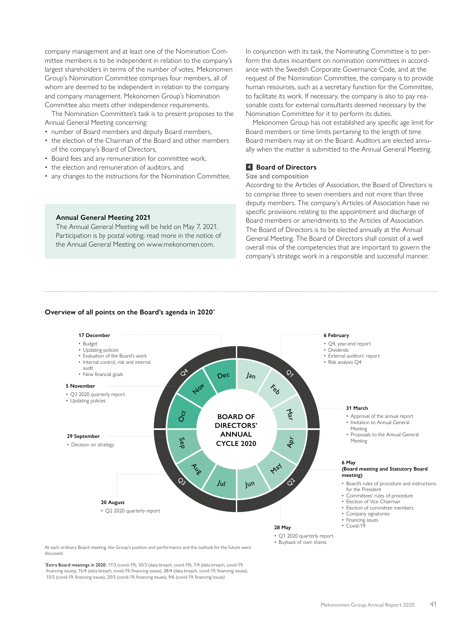company management and at least one of the Nomination Committee members is to be independent in relation to the company's largest shareholders in terms of the number of votes. Mekonomen Group's Nomination Committee comprises four members, all of whom are deemed to be independent in relation to the company and company management. Mekonomen Group's Nomination Committee also meets other independence requirements.

The Nomination Committee's task is to present proposes to the Annual General Meeting concerning:

- number of Board members and deputy Board members,
- the election of the Chairman of the Board and other members of the company's Board of Directors,
- Board fees and any remuneration for committee work,
- the election and remuneration of auditors, and
- any changes to the instructions for the Nomination Committee.

#### **Annual General Meeting 2021**

The Annual General Meeting will be held on May 7, 2021. Participation is by postal voting; read more in the notice of the Annual General Meeting on www.mekonomen.com.

In conjunction with its task, the Nominating Committee is to perform the duties incumbent on nomination committees in accordance with the Swedish Corporate Governance Code, and at the request of the Nomination Committee, the company is to provide human resources, such as a secretary function for the Committee, to facilitate its work. If necessary, the company is also to pay reasonable costs for external consultants deemed necessary by the Nomination Committee for it to perform its duties.

Mekonomen Group has not established any specific age limit for Board members or time limits pertaining to the length of time Board members may sit on the Board. Auditors are elected annually when the matter is submitted to the Annual General Meeting.

#### **4 Board of Directors**

#### Size and composition

According to the Articles of Association, the Board of Directors is to comprise three to seven members and not more than three deputy members. The company's Articles of Association have no specific provisions relating to the appointment and discharge of Board members or amendments to the Articles of Association. The Board of Directors is to be elected annually at the Annual General Meeting. The Board of Directors shall consist of a well overall mix of the competencies that are important to govern the company's strategic work in a responsible and successful manner.

#### **Overview of all points on the Board's agenda in 2020\***



At each ordinary Board meeting, the Group's position and performance and the outlook for the future were discussed.

**Extra Board meetings in 2020:** 17/3 (covid-19), 30/3 (data breach, covid-19), 7/4 (data breach, covid-19, financing issues), 15/4 (data breach, covid-19, financing issues), 28/4 (data breach, covid-19, financing issues), 15/5 (covid-19, financing issues), 20/5 (covid-19, financing issues), 9/6 (covid-19, financing issues)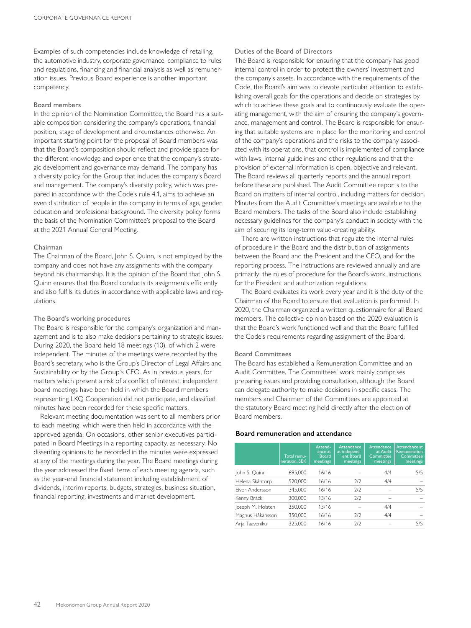Examples of such competencies include knowledge of retailing, the automotive industry, corporate governance, compliance to rules and regulations, financing and financial analysis as well as remuneration issues. Previous Board experience is another important competency.

#### Board members

In the opinion of the Nomination Committee, the Board has a suitable composition considering the company's operations, financial position, stage of development and circumstances otherwise. An important starting point for the proposal of Board members was that the Board's composition should reflect and provide space for the different knowledge and experience that the company's strategic development and governance may demand. The company has a diversity policy for the Group that includes the company's Board and management. The company's diversity policy, which was prepared in accordance with the Code's rule 4.1, aims to achieve an even distribution of people in the company in terms of age, gender, education and professional background. The diversity policy forms the basis of the Nomination Committee's proposal to the Board at the 2021 Annual General Meeting.

#### Chairman

The Chairman of the Board, John S. Quinn, is not employed by the company and does not have any assignments with the company beyond his chairmanship. It is the opinion of the Board that John S. Quinn ensures that the Board conducts its assignments efficiently and also fulfils its duties in accordance with applicable laws and regulations.

#### The Board's working procedures

The Board is responsible for the company's organization and management and is to also make decisions pertaining to strategic issues. During 2020, the Board held 18 meetings (10), of which 2 were independent. The minutes of the meetings were recorded by the Board's secretary, who is the Group's Director of Legal Affairs and Sustainability or by the Group´s CFO. As in previous years, for matters which present a risk of a conflict of interest, independent board meetings have been held in which the Board members representing LKQ Cooperation did not participate, and classified minutes have been recorded for these specific matters.

Relevant meeting documentation was sent to all members prior to each meeting, which were then held in accordance with the approved agenda. On occasions, other senior executives participated in Board Meetings in a reporting capacity, as necessary. No dissenting opinions to be recorded in the minutes were expressed at any of the meetings during the year. The Board meetings during the year addressed the fixed items of each meeting agenda, such as the year-end financial statement including establishment of dividends, interim reports, budgets, strategies, business situation, financial reporting, investments and market development.

#### Duties of the Board of Directors

The Board is responsible for ensuring that the company has good internal control in order to protect the owners' investment and the company's assets. In accordance with the requirements of the Code, the Board's aim was to devote particular attention to establishing overall goals for the operations and decide on strategies by which to achieve these goals and to continuously evaluate the operating management, with the aim of ensuring the company's governance, management and control. The Board is responsible for ensuring that suitable systems are in place for the monitoring and control of the company's operations and the risks to the company associated with its operations, that control is implemented of compliance with laws, internal guidelines and other regulations and that the provision of external information is open, objective and relevant. The Board reviews all quarterly reports and the annual report before these are published. The Audit Committee reports to the Board on matters of internal control, including matters for decision. Minutes from the Audit Committee's meetings are available to the Board members. The tasks of the Board also include establishing necessary guidelines for the company's conduct in society with the aim of securing its long-term value-creating ability.

There are written instructions that regulate the internal rules of procedure in the Board and the distribution of assignments between the Board and the President and the CEO, and for the reporting process. The instructions are reviewed annually and are primarily: the rules of procedure for the Board's work, instructions for the President and authorization regulations.

The Board evaluates its work every year and it is the duty of the Chairman of the Board to ensure that evaluation is performed. In 2020, the Chairman organized a written questionnaire for all Board members. The collective opinion based on the 2020 evaluation is that the Board's work functioned well and that the Board fulfilled the Code's requirements regarding assignment of the Board.

# Board Committees

The Board has established a Remuneration Committee and an Audit Committee. The Committees' work mainly comprises preparing issues and providing consultation, although the Board can delegate authority to make decisions in specific cases. The members and Chairmen of the Committees are appointed at the statutory Board meeting held directly after the election of Board members.

#### **Board remuneration and attendance**

|                   | Total remu-<br>neration, SEK | Attend-<br>ance at<br><b>Board</b><br>meetings | Attendance<br>at independ-<br>ent Board<br>meetings | Attendance<br>at Audit<br>Committee<br>meetings | Attendance at<br>Remuneration<br>Committee<br>meetings |
|-------------------|------------------------------|------------------------------------------------|-----------------------------------------------------|-------------------------------------------------|--------------------------------------------------------|
| John S. Quinn     | 695,000                      | 16/16                                          |                                                     | 4/4                                             | 5/5                                                    |
| Helena Skåntorp   | 520,000                      | 16/16                                          | 2/2                                                 | 4/4                                             |                                                        |
| Fivor Andersson   | 345,000                      | 16/16                                          | 7/7                                                 |                                                 | 5/5                                                    |
| Kenny Bräck       | 300,000                      | 13/16                                          | 7/2                                                 |                                                 |                                                        |
| Joseph M. Holsten | 350,000                      | 13/16                                          |                                                     | 4/4                                             |                                                        |
| Magnus Håkansson  | 350,000                      | 16/16                                          | 7/7                                                 | 4/4                                             |                                                        |
| Arja Taaveniku    | 325,000                      | 16/16                                          | 7/2                                                 |                                                 | 5/5                                                    |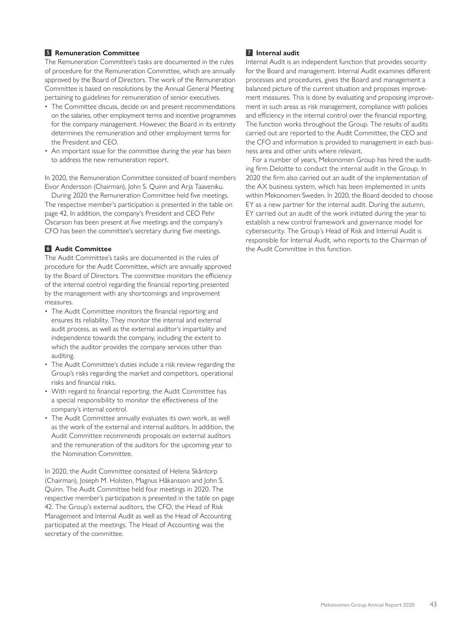# **5 Remuneration Committee**

The Remuneration Committee's tasks are documented in the rules of procedure for the Remuneration Committee, which are annually approved by the Board of Directors. The work of the Remuneration Committee is based on resolutions by the Annual General Meeting pertaining to guidelines for remuneration of senior executives.

- The Committee discuss, decide on and present recommendations on the salaries, other employment terms and incentive programmes for the company management. However, the Board in its entirety determines the remuneration and other employment terms for the President and CEO.
- An important issue for the committee during the year has been to address the new remuneration report.

In 2020, the Remuneration Committee consisted of board members Eivor Andersson (Chairman), John S. Quinn and Arja Taaveniku.

During 2020 the Remuneration Committee held five meetings. The respective member's participation is presented in the table on page 42. In addition, the company's President and CEO Pehr Oscarson has been present at five meetings and the company's CFO has been the committee's secretary during five meetings.

# **6 Audit Committee**

The Audit Committee's tasks are documented in the rules of procedure for the Audit Committee, which are annually approved by the Board of Directors. The committee monitors the efficiency of the internal control regarding the financial reporting presented by the management with any shortcomings and improvement measures.

- The Audit Committee monitors the financial reporting and ensures its reliability. They monitor the internal and external audit process, as well as the external auditor's impartiality and independence towards the company, including the extent to which the auditor provides the company services other than auditing.
- The Audit Committee's duties include a risk review regarding the Group's risks regarding the market and competitors, operational risks and financial risks.
- With regard to financial reporting, the Audit Committee has a special responsibility to monitor the effectiveness of the company's internal control.
- The Audit Committee annually evaluates its own work, as well as the work of the external and internal auditors. In addition, the Audit Committee recommends proposals on external auditors and the remuneration of the auditors for the upcoming year to the Nomination Committee.

In 2020, the Audit Committee consisted of Helena Skåntorp (Chairman), Joseph M. Holsten, Magnus Håkansson and John S. Quinn. The Audit Committee held four meetings in 2020. The respective member's participation is presented in the table on page 42. The Group's external auditors, the CFO, the Head of Risk Management and Internal Audit as well as the Head of Accounting participated at the meetings. The Head of Accounting was the secretary of the committee.

# **7 Internal audit**

Internal Audit is an independent function that provides security for the Board and management. Internal Audit examines different processes and procedures, gives the Board and management a balanced picture of the current situation and proposes improvement measures. This is done by evaluating and proposing improvement in such areas as risk management, compliance with policies and efficiency in the internal control over the financial reporting. The function works throughout the Group. The results of audits carried out are reported to the Audit Committee, the CEO and the CFO and information is provided to management in each business area and other units where relevant.

For a number of years, Mekonomen Group has hired the auditing firm Deloitte to conduct the internal audit in the Group. In 2020 the firm also carried out an audit of the implementation of the AX business system, which has been implemented in units within Mekonomen Sweden. In 2020, the Board decided to choose EY as a new partner for the internal audit. During the autumn, EY carried out an audit of the work initiated during the year to establish a new control framework and governance model for cybersecurity. The Group´s Head of Risk and Internal Audit is responsible for Internal Audit, who reports to the Chairman of the Audit Committee in this function.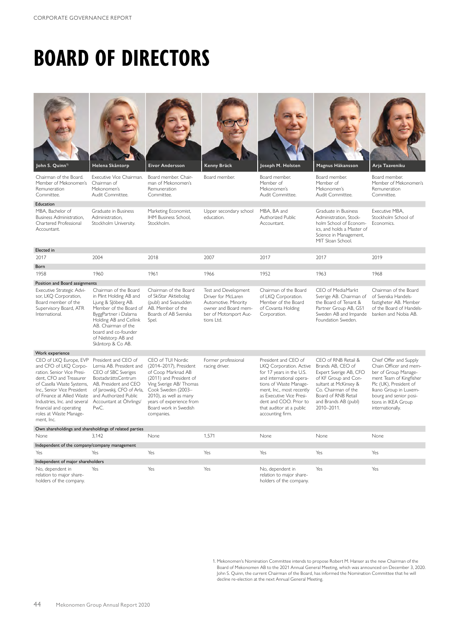# **BOARD OF DIRECTORS**

| John S. Quinn <sup>1)</sup>                                                                                                                                                                                                                                                                           | Helena Skåntorp                                                                                                                                                                                                                                 | <b>Eivor Andersson</b>                                                                                                                                                                                                                     | Kenny Bräck                                                                                                                        | Joseph M. Holsten                                                                                                                                                                                                                                                    | Magnus Håkansson                                                                                                                                                                                        | Arja Taaveniku                                                                                                                                                                                                              |
|-------------------------------------------------------------------------------------------------------------------------------------------------------------------------------------------------------------------------------------------------------------------------------------------------------|-------------------------------------------------------------------------------------------------------------------------------------------------------------------------------------------------------------------------------------------------|--------------------------------------------------------------------------------------------------------------------------------------------------------------------------------------------------------------------------------------------|------------------------------------------------------------------------------------------------------------------------------------|----------------------------------------------------------------------------------------------------------------------------------------------------------------------------------------------------------------------------------------------------------------------|---------------------------------------------------------------------------------------------------------------------------------------------------------------------------------------------------------|-----------------------------------------------------------------------------------------------------------------------------------------------------------------------------------------------------------------------------|
| Chairman of the Board.<br>Member of Mekonomen's<br>Remuneration<br>Committee.                                                                                                                                                                                                                         | Executive Vice Chairman.<br>Chairman of<br>Mekonomen's<br>Audit Committee.                                                                                                                                                                      | Board member. Chair-<br>man of Mekonomen's<br>Remuneration<br>Committee.                                                                                                                                                                   | Board member.                                                                                                                      | Board member.<br>Member of<br>Mekonomen's<br>Audit Committee.                                                                                                                                                                                                        | Board member.<br>Member of<br>Mekonomen's<br>Audit Committee.                                                                                                                                           | Board member.<br>Member of Mekonomen's<br>Remuneration<br>Committee.                                                                                                                                                        |
| Education                                                                                                                                                                                                                                                                                             |                                                                                                                                                                                                                                                 |                                                                                                                                                                                                                                            |                                                                                                                                    |                                                                                                                                                                                                                                                                      |                                                                                                                                                                                                         |                                                                                                                                                                                                                             |
| MBA, Bachelor of<br>Business Administration.<br>Chartered Professional<br>Accountant.                                                                                                                                                                                                                 | Graduate in Business<br>Administration.<br>Stockholm University.                                                                                                                                                                                | Marketing Economist,<br>IHM Business School.<br>Stockholm.                                                                                                                                                                                 | Upper secondary school<br>education.                                                                                               | MBA, BA and<br>Authorized Public<br>Accountant.                                                                                                                                                                                                                      | Graduate in Business<br>Administration. Stock-<br>holm School of Econom-<br>ics, and holds a Master of<br>Science in Management,<br>MIT Sloan School.                                                   | Executive MBA,<br>Stockholm School of<br>Economics.                                                                                                                                                                         |
| Elected in                                                                                                                                                                                                                                                                                            |                                                                                                                                                                                                                                                 |                                                                                                                                                                                                                                            |                                                                                                                                    |                                                                                                                                                                                                                                                                      |                                                                                                                                                                                                         |                                                                                                                                                                                                                             |
| 2017                                                                                                                                                                                                                                                                                                  | 2004                                                                                                                                                                                                                                            | 2018                                                                                                                                                                                                                                       | 2007                                                                                                                               | 2017                                                                                                                                                                                                                                                                 | 2017                                                                                                                                                                                                    | 2019                                                                                                                                                                                                                        |
| Born                                                                                                                                                                                                                                                                                                  |                                                                                                                                                                                                                                                 |                                                                                                                                                                                                                                            |                                                                                                                                    |                                                                                                                                                                                                                                                                      |                                                                                                                                                                                                         |                                                                                                                                                                                                                             |
| 1958                                                                                                                                                                                                                                                                                                  | 1960                                                                                                                                                                                                                                            | 1961                                                                                                                                                                                                                                       | 1966                                                                                                                               | 1952                                                                                                                                                                                                                                                                 | 1963                                                                                                                                                                                                    | 1968                                                                                                                                                                                                                        |
| Position and Board assignments                                                                                                                                                                                                                                                                        |                                                                                                                                                                                                                                                 |                                                                                                                                                                                                                                            |                                                                                                                                    |                                                                                                                                                                                                                                                                      |                                                                                                                                                                                                         |                                                                                                                                                                                                                             |
| Executive Strategic Advi-<br>sor, LKQ Corporation,<br>Board member of the<br>Supervisory Board, ATR<br>International.                                                                                                                                                                                 | Chairman of the Board<br>in Plint Holding AB and<br>Ljung & Slöberg AB.<br>Member of the Board of<br>ByggPartner i Dalarna<br>Holding AB and Cellink<br>AB. Chairman of the<br>board and co-founder<br>of Nielstorp AB and<br>Skåntorp & Co AB. | Chairman of the Board<br>of SkiStar Aktiebolag<br>(publ) and Svanudden<br>AB. Member of the<br>Boards of AB Svenska<br>Spel.                                                                                                               | Test and Development<br>Driver for McLaren<br>Automotive. Minority<br>owner and Board mem-<br>ber of Motorsport Auc-<br>tions Ltd. | Chairman of the Board<br>of LKO Corporation.<br>Member of the Board<br>of Covanta Holding<br>Corporation.                                                                                                                                                            | CEO of MediaMarkt<br>Sverige AB. Chairman of<br>the Board of Tenant &<br>Partner Group AB, GS1<br>Sweden AB and Impande<br>Foundation Sweden.                                                           | Chairman of the Board<br>of Svenska Handels-<br>fastigheter AB. Member<br>of the Board of Handels-<br>banken and Nobia AB.                                                                                                  |
| Work experience                                                                                                                                                                                                                                                                                       |                                                                                                                                                                                                                                                 |                                                                                                                                                                                                                                            |                                                                                                                                    |                                                                                                                                                                                                                                                                      |                                                                                                                                                                                                         |                                                                                                                                                                                                                             |
| CEO of LKQ Europe, EVP<br>and CFO of LKQ Corpo-<br>ration. Senior Vice Presi-<br>dent, CFO and Treasurer<br>of Casella Waste Systems,<br>Inc., Senior Vice President<br>of Finance at Allied Waste<br>Industries, Inc. and several<br>financial and operating<br>roles at Waste Manage-<br>ment, Inc. | President and CEO of<br>Lernia AB. President and<br>CEO of SBC Sveriges<br>BostadsrättsCentrum<br>AB, President and CEO<br>of Jarowskij, CFO of Arla,<br>and Authorized Public<br>Accountant at Öhrlings/<br>PwC.                               | CEO of TUI Nordic<br>(2014-2017), President<br>of Coop Marknad AB<br>(2011) and President of<br>Ving Sverige AB/ Thomas<br>Cook Sweden (2003-<br>2010), as well as many<br>years of experience from<br>Board work in Swedish<br>companies. | Former professional<br>racing driver.                                                                                              | President and CEO of<br>LKQ Corporation. Active<br>for 17 years in the U.S.<br>and international opera-<br>tions of Waste Manage-<br>ment, Inc., most recently<br>as Executive Vice Presi-<br>dent and COO. Prior to<br>that auditor at a public<br>accounting firm. | CEO of RNB Retail &<br>Brands AB, CEO of<br>Expert Sverige AB, CFO<br>of KF Group and Con-<br>sultant at McKinsey &<br>Co. Chairman of the<br>Board of RNB Retail<br>and Brands AB (publ)<br>2010-2011. | Chief Offer and Supply<br>Chain Officer and mem-<br>ber of Group Manage-<br>ment Team of Kingfisher<br>Plc (UK), President of<br>Ikano Group in Luxem-<br>bourg and senior posi-<br>tions in IKEA Group<br>internationally. |
| Own shareholdings and shareholdings of related parties                                                                                                                                                                                                                                                |                                                                                                                                                                                                                                                 |                                                                                                                                                                                                                                            |                                                                                                                                    |                                                                                                                                                                                                                                                                      |                                                                                                                                                                                                         |                                                                                                                                                                                                                             |
| None                                                                                                                                                                                                                                                                                                  | 3.142                                                                                                                                                                                                                                           | None                                                                                                                                                                                                                                       | 1,571                                                                                                                              | None                                                                                                                                                                                                                                                                 | None                                                                                                                                                                                                    | None                                                                                                                                                                                                                        |
| Independent of the company/company management                                                                                                                                                                                                                                                         |                                                                                                                                                                                                                                                 |                                                                                                                                                                                                                                            |                                                                                                                                    |                                                                                                                                                                                                                                                                      |                                                                                                                                                                                                         |                                                                                                                                                                                                                             |
| Yes                                                                                                                                                                                                                                                                                                   | Yes                                                                                                                                                                                                                                             | Yes                                                                                                                                                                                                                                        | Yes                                                                                                                                | Yes                                                                                                                                                                                                                                                                  | Yes                                                                                                                                                                                                     | Yes                                                                                                                                                                                                                         |
| Independent of major shareholders                                                                                                                                                                                                                                                                     |                                                                                                                                                                                                                                                 |                                                                                                                                                                                                                                            |                                                                                                                                    |                                                                                                                                                                                                                                                                      |                                                                                                                                                                                                         |                                                                                                                                                                                                                             |
| No, dependent in<br>relation to major share-<br>holders of the company.                                                                                                                                                                                                                               | Yes                                                                                                                                                                                                                                             | Yes                                                                                                                                                                                                                                        | Yes                                                                                                                                | No, dependent in<br>relation to major share-<br>holders of the company.                                                                                                                                                                                              | Yes                                                                                                                                                                                                     | Yes                                                                                                                                                                                                                         |

1. Mekonomen's Nomination Committee intends to propose Robert M. Hanser as the new Chairman of the<br>Board of Mekonomen AB to the 2021 Annual General Meeting, which was announced on December 3, 2020.<br>John S. Quinn, the curre decline re-election at the next Annual General Meeting.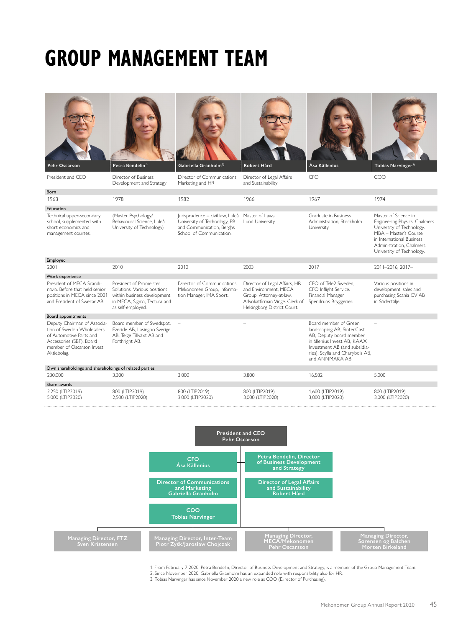# **GROUP MANAGEMENT TEAM**













President and CEO Director of Business Development and Strategy Director of Communications, Marketing and HR Director of Legal Affairs and Sustainability CFO COO Born 1963 1978 1982 1966 1967 1974 Education Technical upper-secondary school, supplemented with short economics and management courses. (Master Psychology/ Behavioural Science, Luleå University of Technology) Jurisprudence – civil law, Luleå University of Technology, PR and Communication, Berghs School of Communication. Master of Laws, Lund University. Graduate in Business Administration, Stockholm University. Master of Science in Engineering Physics, Chalmers University of Technology. MBA – Master's Course in International Business Administration, Chalmers University of Technology. Employed 2001 2010 2010 2003 2017 2011–2016, 2017– Work experience President of MECA Scandinavia. Before that held senior positions in MECA since 2001 and President of Swecar AB. President of Promeister Solutions. Various positions within business development in MECA, Sigma, Tectura and as self-employed. Director of Communications, Mekonomen Group, Information Manager, IMA Sport. Director of Legal Affairs, HR and Environment, MECA Group. Attorney-at-law, Advokatfirman Vinge. Clerk of Helsingborg District Court. CFO of Tele2 Sweden, CFO Inflight Service. Financial Manager Spendrups Bryggerier. Various positions in development, sales and purchasing Scania CV AB in Södertälje. Board appointments Deputy Chairman of Association of Swedish Wholesalers of Automotive Parts and Accessories (SBF). Board member of Oscarson Invest Aktiebolag. Board member of Swedspot, Ezeride AB, Lasingoo Sverige AB, Telge Tillväxt AB and Forthright AB. – – Board member of Green landscaping AB, SinterCast AB, Deputy board member in ällenius Invest AB, KAAX Investment AB (and subsidiaries), Scylla and Charybdis AB, and ANNMAKA AB. – Own shareholdings and shareholdings of related parties 230,000 3,300 3,800 3,800 16,582 5,000 Share awards 2,250 (LTIP2019) 5,000 (LTIP2020) 800 (LTIP2019) 2,500 (LTIP2020) 800 (LTIP2019) 3,000 (LTIP2020) 800 (LTIP2019) 3,000 (LTIP2020) 1,600 (LTIP2019) 3,000 (LTIP2020) 800 (LTIP2019) 3,000 (LTIP2020)



1. From February 7 2020, Petra Bendelin, Director of Business Development and Strategy, is a member of the Group Management Team. 2. Since November 2020, Gabriella Granholm has an expanded role with responsibility also for HR.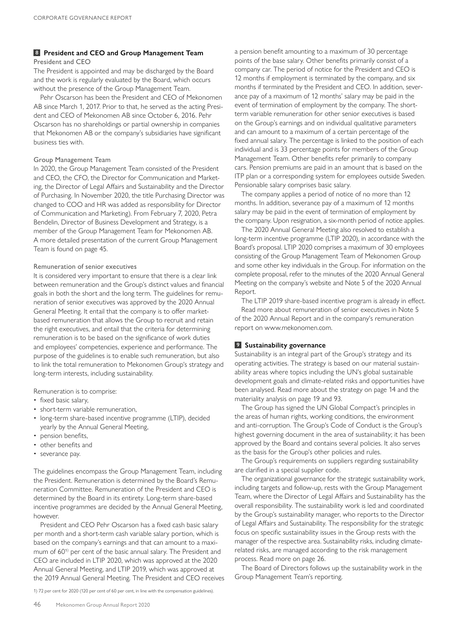#### **8 President and CEO and Group Management Team** President and CEO

The President is appointed and may be discharged by the Board and the work is regularly evaluated by the Board, which occurs without the presence of the Group Management Team.

Pehr Oscarson has been the President and CEO of Mekonomen AB since March 1, 2017. Prior to that, he served as the acting President and CEO of Mekonomen AB since October 6, 2016. Pehr Oscarson has no shareholdings or partial ownership in companies that Mekonomen AB or the company's subsidiaries have significant business ties with.

#### Group Management Team

In 2020, the Group Management Team consisted of the President and CEO, the CFO, the Director for Communication and Marketing, the Director of Legal Affairs and Sustainability and the Director of Purchasing. In November 2020, the title Purchasing Director was changed to COO and HR was added as responsibility for Director of Communication and Marketing). From February 7, 2020, Petra Bendelin, Director of Business Development and Strategy, is a member of the Group Management Team for Mekonomen AB. A more detailed presentation of the current Group Management Team is found on page 45.

#### Remuneration of senior executives

It is considered very important to ensure that there is a clear link between remuneration and the Group's distinct values and financial goals in both the short and the long term. The guidelines for remuneration of senior executives was approved by the 2020 Annual General Meeting. It entail that the company is to offer marketbased remuneration that allows the Group to recruit and retain the right executives, and entail that the criteria for determining remuneration is to be based on the significance of work duties and employees' competencies, experience and performance. The purpose of the guidelines is to enable such remuneration, but also to link the total remuneration to Mekonomen Group's strategy and long-term interests, including sustainability.

Remuneration is to comprise:

- fixed basic salary,
- short-term variable remuneration,
- long-term share-based incentive programme (LTIP), decided yearly by the Annual General Meeting,
- pension benefits,
- other benefits and
- severance pay.

The guidelines encompass the Group Management Team, including the President. Remuneration is determined by the Board's Remuneration Committee. Remuneration of the President and CEO is determined by the Board in its entirety. Long-term share-based incentive programmes are decided by the Annual General Meeting, however.

President and CEO Pehr Oscarson has a fixed cash basic salary per month and a short-term cash variable salary portion, which is based on the company's earnings and that can amount to a maximum of 60<sup>1</sup>) per cent of the basic annual salary. The President and CEO are included in LTIP 2020, which was approved at the 2020 Annual General Meeting, and LTIP 2019, which was approved at the 2019 Annual General Meeting. The President and CEO receives

1) 72 per cent for 2020 (120 per cent of 60 per cent, in line with the compensation guidelines).

a pension benefit amounting to a maximum of 30 percentage points of the base salary. Other benefits primarily consist of a company car. The period of notice for the President and CEO is 12 months if employment is terminated by the company, and six months if terminated by the President and CEO. In addition, severance pay of a maximum of 12 months' salary may be paid in the event of termination of employment by the company. The shortterm variable remuneration for other senior executives is based on the Group's earnings and on individual qualitative parameters and can amount to a maximum of a certain percentage of the fixed annual salary. The percentage is linked to the position of each individual and is 33 percentage points for members of the Group Management Team. Other benefits refer primarily to company cars. Pension premiums are paid in an amount that is based on the ITP plan or a corresponding system for employees outside Sweden. Pensionable salary comprises basic salary.

The company applies a period of notice of no more than 12 months. In addition, severance pay of a maximum of 12 months salary may be paid in the event of termination of employment by the company. Upon resignation, a six-month period of notice applies.

The 2020 Annual General Meeting also resolved to establish a long-term incentive programme (LTIP 2020), in accordance with the Board's proposal. LTIP 2020 comprises a maximum of 30 employees consisting of the Group Management Team of Mekonomen Group and some other key individuals in the Group. For information on the complete proposal, refer to the minutes of the 2020 Annual General Meeting on the company's website and Note 5 of the 2020 Annual Report.

The LTIP 2019 share-based incentive program is already in effect. Read more about remuneration of senior executives in Note 5 of the 2020 Annual Report and in the company's remuneration report on www.mekonomen.com.

# **9 Sustainability governance**

Sustainability is an integral part of the Group's strategy and its operating activities. The strategy is based on our material sustainability areas where topics including the UN's global sustainable development goals and climate-related risks and opportunities have been analysed. Read more about the strategy on page 14 and the materiality analysis on page 19 and 93.

The Group has signed the UN Global Compact's principles in the areas of human rights, working conditions, the environment and anti-corruption. The Group's Code of Conduct is the Group's highest governing document in the area of sustainability; it has been approved by the Board and contains several policies. It also serves as the basis for the Group's other policies and rules.

The Group's requirements on suppliers regarding sustainability are clarified in a special supplier code.

The organizational governance for the strategic sustainability work, including targets and follow-up, rests with the Group Management Team, where the Director of Legal Affairs and Sustainability has the overall responsibility. The sustainability work is led and coordinated by the Group's sustainability manager, who reports to the Director of Legal Affairs and Sustainability. The responsibility for the strategic focus on specific sustainability issues in the Group rests with the manager of the respective area. Sustainability risks, including climaterelated risks, are managed according to the risk management process. Read more on page 26.

The Board of Directors follows up the sustainability work in the Group Management Team's reporting.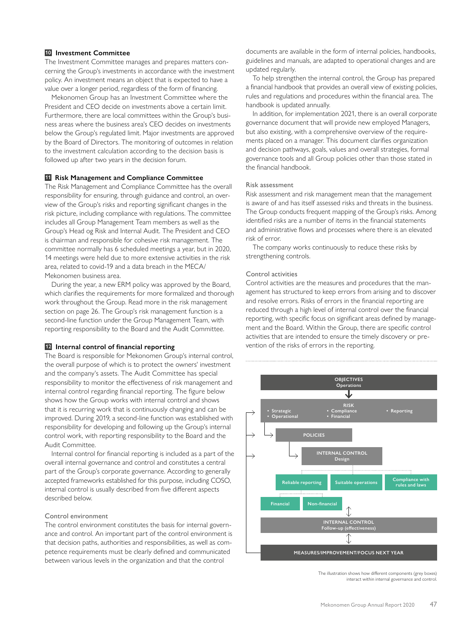# **10 Investment Committee**

The Investment Committee manages and prepares matters concerning the Group's investments in accordance with the investment policy. An investment means an object that is expected to have a value over a longer period, regardless of the form of financing.

Mekonomen Group has an Investment Committee where the President and CEO decide on investments above a certain limit. Furthermore, there are local committees within the Group's business areas where the business area's CEO decides on investments below the Group's regulated limit. Major investments are approved by the Board of Directors. The monitoring of outcomes in relation to the investment calculation according to the decision basis is followed up after two years in the decision forum.

# **11 Risk Management and Compliance Committee**

The Risk Management and Compliance Committee has the overall responsibility for ensuring, through guidance and control, an overview of the Group's risks and reporting significant changes in the risk picture, including compliance with regulations. The committee includes all Group Management Team members as well as the Group's Head og Risk and Internal Audit. The President and CEO is chairman and responsible for cohesive risk management. The committee normally has 6 scheduled meetings a year, but in 2020, 14 meetings were held due to more extensive activities in the risk area, related to covid-19 and a data breach in the MECA/ Mekonomen business area.

During the year, a new ERM policy was approved by the Board, which clarifies the requirements for more formalized and thorough work throughout the Group. Read more in the risk management section on page 26. The Group's risk management function is a second-line function under the Group Management Team, with reporting responsibility to the Board and the Audit Committee.

#### **12 Internal control of financial reporting**

The Board is responsible for Mekonomen Group's internal control, the overall purpose of which is to protect the owners' investment and the company's assets. The Audit Committee has special responsibility to monitor the effectiveness of risk management and internal control regarding financial reporting. The figure below shows how the Group works with internal control and shows that it is recurring work that is continuously changing and can be improved. During 2019, a second-line function was established with responsibility for developing and following up the Group's internal control work, with reporting responsibility to the Board and the Audit Committee.

Internal control for financial reporting is included as a part of the overall internal governance and control and constitutes a central part of the Group's corporate governance. According to generally accepted frameworks established for this purpose, including COSO, internal control is usually described from five different aspects described below.

#### Control environment

The control environment constitutes the basis for internal governance and control. An important part of the control environment is that decision paths, authorities and responsibilities, as well as competence requirements must be clearly defined and communicated between various levels in the organization and that the control

documents are available in the form of internal policies, handbooks, guidelines and manuals, are adapted to operational changes and are updated regularly.

To help strengthen the internal control, the Group has prepared a financial handbook that provides an overall view of existing policies, rules and regulations and procedures within the financial area. The handbook is updated annually.

In addition, for implementation 2021, there is an overall corporate governance document that will provide new employed Managers, but also existing, with a comprehensive overview of the requirements placed on a manager. This document clarifies organization and decision pathways, goals, values and overall strategies, formal governance tools and all Group policies other than those stated in the financial handbook.

#### Risk assessment

Risk assessment and risk management mean that the management is aware of and has itself assessed risks and threats in the business. The Group conducts frequent mapping of the Group's risks. Among identified risks are a number of items in the financial statements and administrative flows and processes where there is an elevated risk of error.

The company works continuously to reduce these risks by strengthening controls.

#### Control activities

Control activities are the measures and procedures that the management has structured to keep errors from arising and to discover and resolve errors. Risks of errors in the financial reporting are reduced through a high level of internal control over the financial reporting, with specific focus on significant areas defined by management and the Board. Within the Group, there are specific control activities that are intended to ensure the timely discovery or prevention of the risks of errors in the reporting.



The illustration shows how different components (grey boxes) interact within internal governance and control.